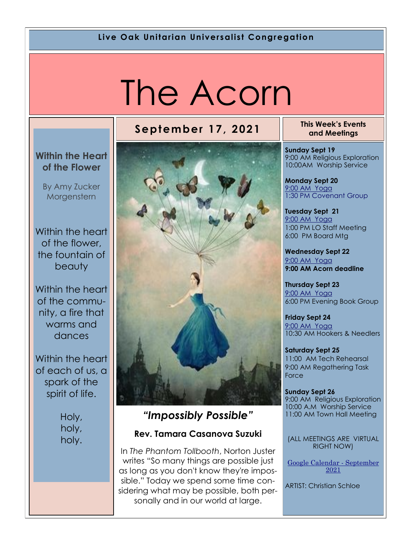#### **Live Oak Unitarian Universalist Congregation**

# The Acorn

### **September 17, 2021 This Week's Events**

#### **Within the Heart of the Flower**

By Amy Zucker **Morgenstern** 

Within the heart of the flower, the fountain of beauty

Within the heart of the community, a fire that warms and dances

Within the heart of each of us, a spark of the spirit of life.

> Holy, holy, holy.



### *"Impossibly Possible"*

#### **Rev. Tamara Casanova Suzuki**

In *The Phantom Tollbooth*, Norton Juster writes "So many things are possible just as long as you don't know they're impossible." Today we spend some time considering what may be possible, both personally and in our world at large.

## **and Meetings**

**Sunday Sept 19** 9:00 AM Religious Exploration 10:00AM Worship Service

**Monday Sept 20** [9:00 AM Yoga](https://us02web.zoom.us/j/86278199291?pwd=WUh1MFJyVXNVOTIyQ1NmanJoSmNXQT09) 1:30 PM Covenant Group

**Tuesday Sept 21** [9:](https://us02web.zoom.us/meeting/register/tZ0pc-6qrTwqH9WUfmrB_nZu0MWqJ8CyS3Uw)[00 AM Yoga](https://us02web.zoom.us/j/86278199291?pwd=WUh1MFJyVXNVOTIyQ1NmanJoSmNXQT09)  1:00 PM LO Staff Meeting 6:00 PM Board Mtg

**Wednesday Sept 22** [9:](https://us02web.zoom.us/meeting/register/tZ0pc-6qrTwqH9WUfmrB_nZu0MWqJ8CyS3Uw)[00 AM Yoga](https://us02web.zoom.us/j/86278199291?pwd=WUh1MFJyVXNVOTIyQ1NmanJoSmNXQT09) **9:00 AM Acorn deadline**

**Thursday Sept 23** [9:](https://us02web.zoom.us/meeting/register/tZ0pc-6qrTwqH9WUfmrB_nZu0MWqJ8CyS3Uw)[00 AM Yoga](https://us02web.zoom.us/j/86278199291?pwd=WUh1MFJyVXNVOTIyQ1NmanJoSmNXQT09) 6:00 PM Evening Book Group

**Friday Sept 24** [9:](https://us02web.zoom.us/meeting/register/tZ0pc-6qrTwqH9WUfmrB_nZu0MWqJ8CyS3Uw)[00 AM Yoga](https://us02web.zoom.us/j/86278199291?pwd=WUh1MFJyVXNVOTIyQ1NmanJoSmNXQT09) 10:30 AM Hookers & Needlers

**Saturday Sept 25** 11:00 AM Tech Rehearsal 9:00 AM Regathering Task Force

**Sunday Sept 26** 9:00 AM Religious Exploration 10:00 A.M Worship Service 11:00 AM Town Hall Meeting

(ALL MEETINGS ARE VIRTUAL RIGHT NOW)

[Google Calendar -](https://calendar.google.com/calendar/u/1/r/month) September [2021](https://calendar.google.com/calendar/u/1/r/month) 

ARTIST: Christian Schloe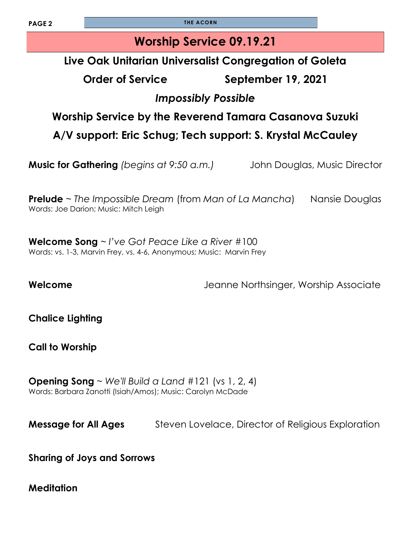**PAGE 2 THE ACORN** 

### **Worship Service 09.19.21**

### **Live Oak Unitarian Universalist Congregation of Goleta**

**Order of Service September 19, 2021**

### *Impossibly Possible*

### **Worship Service by the Reverend Tamara Casanova Suzuki**

**A/V support: Eric Schug; Tech support: S. Krystal McCauley** 

**Music for Gathering** *(begins at 9:50 a.m.)* John Douglas, Music Director

**Prelude** ~ *The Impossible Dream* (from *Man of La Mancha*) Nansie Douglas Words: Joe Darion; Music: Mitch Leigh

**Welcome Song** ~ *I've Got Peace Like a River* #100 Words: vs. 1-3, Marvin Frey, vs. 4-6, Anonymous; Music: Marvin Frey

**Welcome** Jeanne Northsinger, Worship Associate

**Chalice Lighting** 

**Call to Worship** 

**Opening Song** ~ *We'll Build a Land* #121 (vs 1, 2, 4) Words: Barbara Zanotti (Isiah/Amos); Music: Carolyn McDade

**Message for All Ages** Steven Lovelace, Director of Religious Exploration

**Sharing of Joys and Sorrows**

**Meditation**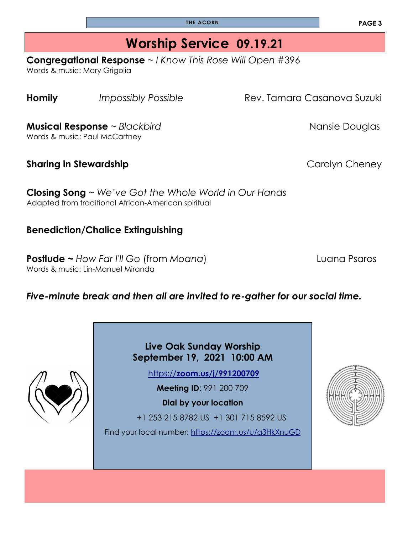**THE ACORN**

# **Worship Service 09.19.21**

**Congregational Response** ~ *I Know This Rose Will Open* #396

Words & music: Mary Grigolia

**Homily** *Impossibly Possible* **Rev. Tamara Casanova Suzuki** 

**Musical Response** ~ *Blackbird* Nansie Douglas

Words & music: Paul McCartney

**Sharing in Stewardship** *Carolyn* **Cheney** 

**Closing Song** ~ *We've Got the Whole World in Our Hands* Adapted from traditional African-American spiritual

#### **Benediction/Chalice Extinguishing**

**Postlude ~** *How Far I'll Go* (from *Moana*) Luana Psaros Words & music: Lin-Manuel Miranda

#### *Five-minute break and then all are invited to re-gather for our social time.*

**Live Oak Sunday Worship September 19, 2021 10:00 AM**

https://**[zoom.us/j/991200709](https://zoom.us/j/991200709)**

**Meeting ID**: 991 200 709

**Dial by your location** 

+1 253 215 8782 US +1 301 715 8592 US

Find your local number: <https://zoom.us/u/a3HkXnuGD>



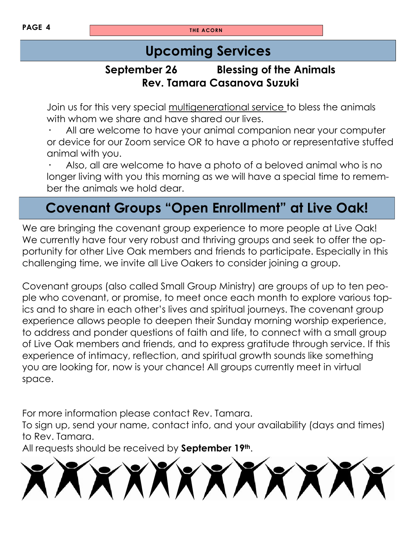**PAGE 4 THE ACORN** 

### **Upcoming Services**

### **September 26 Blessing of the Animals Rev. Tamara Casanova Suzuki**

Join us for this very special multigenerational service to bless the animals with whom we share and have shared our lives.

**·** All are welcome to have your animal companion near your computer or device for our Zoom service OR to have a photo or representative stuffed animal with you.

**·** Also, all are welcome to have a photo of a beloved animal who is no longer living with you this morning as we will have a special time to remember the animals we hold dear.

# **Covenant Groups "Open Enrollment" at Live Oak!**

We are bringing the covenant group experience to more people at Live Oak! We currently have four very robust and thriving groups and seek to offer the opportunity for other Live Oak members and friends to participate. Especially in this challenging time, we invite all Live Oakers to consider joining a group.

Covenant groups (also called Small Group Ministry) are groups of up to ten people who covenant, or promise, to meet once each month to explore various topics and to share in each other's lives and spiritual journeys. The covenant group experience allows people to deepen their Sunday morning worship experience, to address and ponder questions of faith and life, to connect with a small group of Live Oak members and friends, and to express gratitude through service. If this experience of intimacy, reflection, and spiritual growth sounds like something you are looking for, now is your chance! All groups currently meet in virtual space.

For more information please contact Rev. Tamara.

To sign up, send your name, contact info, and your availability (days and times) to Rev. Tamara.

All requests should be received by **September 19th**.

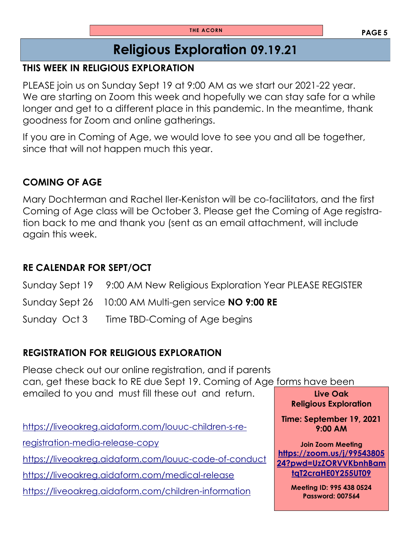### **Religious Exploration 09.19.21**

#### **THIS WEEK IN RELIGIOUS EXPLORATION**

PLEASE join us on Sunday Sept 19 at 9:00 AM as we start our 2021-22 year. We are starting on Zoom this week and hopefully we can stay safe for a while longer and get to a different place in this pandemic. In the meantime, thank goodness for Zoom and online gatherings.

If you are in Coming of Age, we would love to see you and all be together, since that will not happen much this year.

#### **COMING OF AGE**

Mary Dochterman and Rachel Iler-Keniston will be co-facilitators, and the first Coming of Age class will be October 3. Please get the Coming of Age registration back to me and thank you (sent as an email attachment, will include again this week.

#### **RE CALENDAR FOR SEPT/OCT**

Sunday Sept 19 9:00 AM New Religious Exploration Year PLEASE REGISTER Sunday Sept 26 10:00 AM Multi-gen service **NO 9:00 RE** Sunday Oct 3 Time TBD-Coming of Age begins

#### **REGISTRATION FOR RELIGIOUS EXPLORATION**

**Live Oak**  Please check out our online registration, and if parents can, get these back to RE due Sept 19. Coming of Age forms have been emailed to you and must fill these out and return.

[https://liveoakreg.aidaform.com/louuc-children-s-re-](https://liveoakreg.aidaform.com/louuc-children-s-re-registration-media-release-copy)

[registration-media-release-copy](https://liveoakreg.aidaform.com/louuc-children-s-re-registration-media-release-copy)

<https://liveoakreg.aidaform.com/louuc-code-of-conduct>

<https://liveoakreg.aidaform.com/medical-release>

<https://liveoakreg.aidaform.com/children-information>

**Religious Exploration** 

**Time: September 19, 2021 9:00 AM** 

**Join Zoom Meeting [https://zoom.us/j/99543805](https://zoom.us/j/9954380524?pwd=UzZORVVKbnhBamtqT2craHE0Y255UT09) [24?pwd=UzZORVVKbnhBam](https://zoom.us/j/9954380524?pwd=UzZORVVKbnhBamtqT2craHE0Y255UT09) [tqT2craHE0Y255UT09](https://zoom.us/j/9954380524?pwd=UzZORVVKbnhBamtqT2craHE0Y255UT09)**

> **Meeting ID: 995 438 0524 Password: 007564**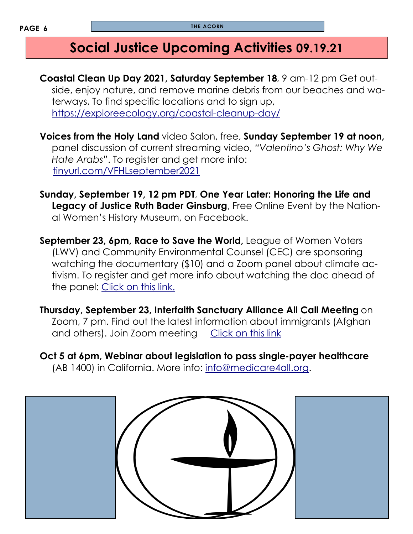### **Social Justice Upcoming Activities 09.19.21**

**Coastal Clean Up Day 2021, Saturday September 18**, 9 am-12 pm Get outside, enjoy nature, and remove marine debris from our beaches and waterways, To find specific locations and to sign up, <https://exploreecology.org/coastal-cleanup-day/>

**Voices from the Holy Land** video Salon, free, **Sunday September 19 at noon,**  panel discussion of current streaming video, *"Valentino's Ghost: Why We Hate Arabs*". To register and get more info: <tinyurl.com/VFHLseptember2021>

**Sunday, September 19, 12 pm PDT**, **One Year Later: Honoring the Life and Legacy of Justice Ruth Bader Ginsburg**, Free Online Event by the National Women's History Museum, on Facebook.

**September 23, 6pm, Race to Save the World, League of Women Voters** (LWV) and Community Environmental Counsel (CEC) are sponsoring watching the documentary (\$10) and a Zoom panel about climate activism. To register and get more info about watching the doc ahead of the panel: [Click on this link.](https://us02web.zoom.us/webinar/register/WN_W0JKr8rwTkyHJ8NXfwFgzA)

**Thursday, September 23, Interfaith Sanctuary Alliance All Call Meeting** on Zoom, 7 pm. Find out the latest information about immigrants (Afghan and others). Join Zoom meeting [Click on this link](https://us06web.zoom.us/j/82823091701)

**Oct 5 at 6pm, Webinar about legislation to pass single-payer healthcare**  (AB 1400) in California. More info: [info@medicare4all.org.](mailto:info@medicare4all.org.)

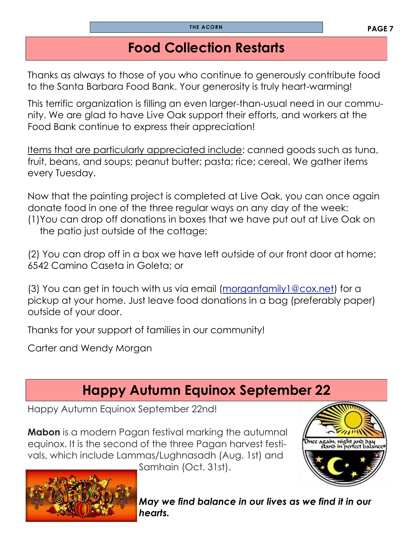### **Food Collection Restarts**

Thanks as always to those of you who continue to generously contribute food to the Santa Barbara Food Bank. Your generosity is truly heart-warming!

This terrific organization is filling an even larger-than-usual need in our community. We are glad to have Live Oak support their efforts, and workers at the Food Bank continue to express their appreciation!

Items that are particularly appreciated include: canned goods such as tuna, fruit, beans, and soups; peanut butter; pasta; rice; cereal. We gather items every Tuesday.

Now that the painting project is completed at Live Oak, you can once again donate food in one of the three regular ways on any day of the week: (1)You can drop off donations in boxes that we have put out at Live Oak on the patio just outside of the cottage;

(2) You can drop off in a box we have left outside of our front door at home: 6542 Camino Caseta in Goleta; or

(3) You can get in touch with us via email ([morganfamily1@cox.net\)](mailto:morganfamily1@cox.net) for a pickup at your home. Just leave food donations in a bag (preferably paper) outside of your door.

Thanks for your support of families in our community!

Carter and Wendy Morgan

# **Happy Autumn Equinox September 22**

Happy Autumn Equinox September 22nd!

**Mabon** is a modern Pagan festival marking the autumnal equinox. It is the second of the three Pagan harvest festivals, which include Lammas/Lughnasadh (Aug. 1st) and Samhain (Oct. 31st).



*hearts.*

*May we find balance in our lives as we find it in our*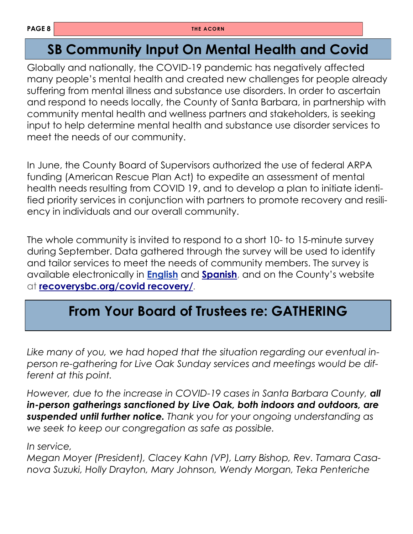### **SB Community Input On Mental Health and Covid**

Globally and nationally, the COVID-19 pandemic has negatively affected many people's mental health and created new challenges for people already suffering from mental illness and substance use disorders. In order to ascertain and respond to needs locally, the County of Santa Barbara, in partnership with community mental health and wellness partners and stakeholders, is seeking input to help determine mental health and substance use disorder services to meet the needs of our community.

In June, the County Board of Supervisors authorized the use of federal ARPA funding (American Rescue Plan Act) to expedite an assessment of mental health needs resulting from COVID 19, and to develop a plan to initiate identified priority services in conjunction with partners to promote recovery and resiliency in individuals and our overall community.

The whole community is invited to respond to a short 10- to 15-minute survey during September. Data gathered through the survey will be used to identify and tailor services to meet the needs of community members. The survey is available electronically in **[English](https://t.e2ma.net/click/oizkkd/cxmrgtm/oqx40l)** and **[Spanish](https://t.e2ma.net/click/oizkkd/cxmrgtm/4iy40l)**, and on the County's website at **[recoverysbc.org/covid recovery/](https://t.e2ma.net/click/oizkkd/cxmrgtm/kbz40l)**.

# **From Your Board of Trustees re: GATHERING**

*Like many of you, we had hoped that the situation regarding our eventual inperson re-gathering for Live Oak Sunday services and meetings would be different at this point.*

*However, due to the increase in COVID-19 cases in Santa Barbara County, all in-person gatherings sanctioned by Live Oak, both indoors and outdoors, are suspended until further notice. Thank you for your ongoing understanding as we seek to keep our congregation as safe as possible.*

*In service,*

*Megan Moyer (President), Clacey Kahn (VP), Larry Bishop, Rev. Tamara Casanova Suzuki, Holly Drayton, Mary Johnson, Wendy Morgan, Teka Penteriche*